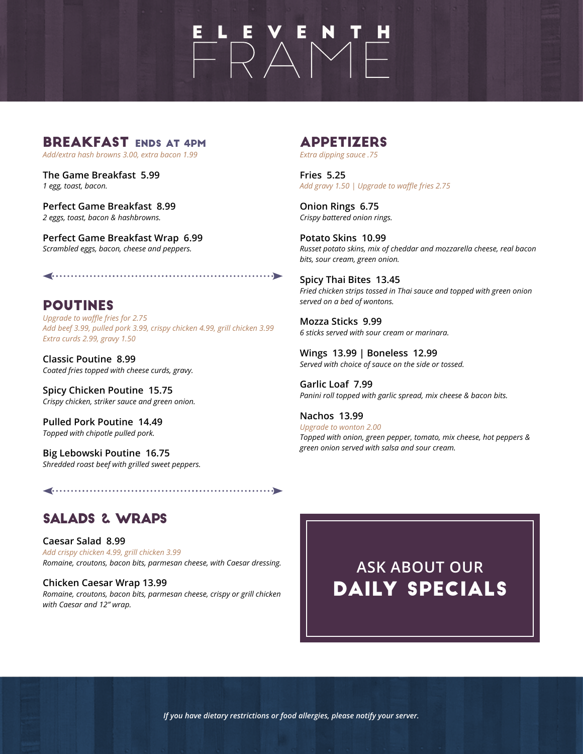### BREAKFAST ENDS AT 4PM

*Add/extra hash browns 3.00, extra bacon 1.99*

**The Game Breakfast 5.99**  *1 egg, toast, bacon.* 

**Perfect Game Breakfast 8.99**  *2 eggs, toast, bacon & hashbrowns.* 

**Perfect Game Breakfast Wrap 6.99**  *Scrambled eggs, bacon, cheese and peppers.* 

**POUTINES** *Upgrade to waffle fries for 2.75 Add beef 3.99, pulled pork 3.99, crispy chicken 4.99, grill chicken 3.99 Extra curds 2.99, gravy 1.50*

**Classic Poutine 8.99**  *Coated fries topped with cheese curds, gravy.* 

**Spicy Chicken Poutine 15.75** *Crispy chicken, striker sauce and green onion.* 

**Pulled Pork Poutine 14.49** *Topped with chipotle pulled pork.* 

**Big Lebowski Poutine 16.75** *Shredded roast beef with grilled sweet peppers.* 

## Appetizers

*Extra dipping sauce .75*

 $\begin{array}{c}\n\mathbf{L} & \mathbf{L} & \mathbf{V} & \mathbf{E} & \mathbf{N} & \mathbf{I} & \mathbf{H} \\
\hline\n\mathbf{L} & \mathbf{L} & \mathbf{N} & \mathbf{N} & \mathbf{I} & \mathbf{I}\n\end{array}$ 

**Fries 5.25**  *Add gravy 1.50 | Upgrade to waffle fries 2.75*

**Onion Rings 6.75** *Crispy battered onion rings.* 

**Potato Skins 10.99** *Russet potato skins, mix of cheddar and mozzarella cheese, real bacon bits, sour cream, green onion.* 

**Spicy Thai Bites 13.45** *Fried chicken strips tossed in Thai sauce and topped with green onion served on a bed of wontons.* 

**Mozza Sticks 9.99** *6 sticks served with sour cream or marinara.* 

**Wings 13.99 | Boneless 12.99** *Served with choice of sauce on the side or tossed.* 

**Garlic Loaf 7.99** *Panini roll topped with garlic spread, mix cheese & bacon bits.* 

**Nachos 13.99**  *Upgrade to wonton 2.00 Topped with onion, green pepper, tomato, mix cheese, hot peppers & green onion served with salsa and sour cream.* 

## SALADS & WRAPS

**Caesar Salad 8.99** *Add crispy chicken 4.99, grill chicken 3.99 Romaine, croutons, bacon bits, parmesan cheese, with Caesar dressing.* 

**Chicken Caesar Wrap 13.99** *Romaine, croutons, bacon bits, parmesan cheese, crispy or grill chicken with Caesar and 12" wrap.*

**ASK ABOUT OUR** DAILY SPECIALS

*If you have dietary restrictions or food allergies, please notify your server.*